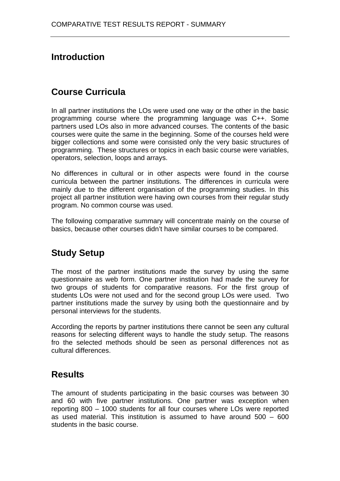# **Introduction**

## **Course Curricula**

In all partner institutions the LOs were used one way or the other in the basic programming course where the programming language was C++. Some partners used LOs also in more advanced courses. The contents of the basic courses were quite the same in the beginning. Some of the courses held were bigger collections and some were consisted only the very basic structures of programming. These structures or topics in each basic course were variables, operators, selection, loops and arrays.

No differences in cultural or in other aspects were found in the course curricula between the partner institutions. The differences in curricula were mainly due to the different organisation of the programming studies. In this project all partner institution were having own courses from their regular study program. No common course was used.

The following comparative summary will concentrate mainly on the course of basics, because other courses didn't have similar courses to be compared.

## **Study Setup**

The most of the partner institutions made the survey by using the same questionnaire as web form. One partner institution had made the survey for two groups of students for comparative reasons. For the first group of students LOs were not used and for the second group LOs were used. Two partner institutions made the survey by using both the questionnaire and by personal interviews for the students.

According the reports by partner institutions there cannot be seen any cultural reasons for selecting different ways to handle the study setup. The reasons fro the selected methods should be seen as personal differences not as cultural differences.

### **Results**

The amount of students participating in the basic courses was between 30 and 60 with five partner institutions. One partner was exception when reporting 800 – 1000 students for all four courses where LOs were reported as used material. This institution is assumed to have around 500 – 600 students in the basic course.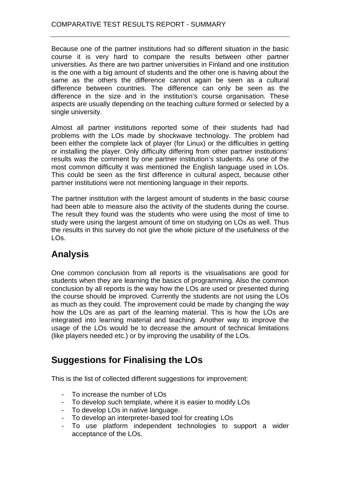Because one of the partner institutions had so different situation in the basic course it is very hard to compare the results between other partner universities. As there are two partner universities in Finland and one institution is the one with a big amount of students and the other one is having about the same as the others the difference cannot again be seen as a cultural difference between countries. The difference can only be seen as the difference in the size and in the institution's course organisation. These aspects are usually depending on the teaching culture formed or selected by a single university.

Almost all partner institutions reported some of their students had had problems with the LOs made by shockwave technology. The problem had been either the complete lack of player (for Linux) or the difficulties in getting or installing the player. Only difficulty differing from other partner institutions' results was the comment by one partner institution's students. As one of the most common difficulty it was mentioned the English language used in LOs. This could be seen as the first difference in cultural aspect, because other partner institutions were not mentioning language in their reports.

The partner institution with the largest amount of students in the basic course had been able to measure also the activity of the students during the course. The result they found was the students who were using the most of time to study were using the largest amount of time on studying on LOs as well. Thus the results in this survey do not give the whole picture of the usefulness of the LOs.

## **Analysis**

One common conclusion from all reports is the visualisations are good for students when they are learning the basics of programming. Also the common conclusion by all reports is the way how the LOs are used or presented during the course should be improved. Currently the students are not using the LOs as much as they could. The improvement could be made by changing the way how the LOs are as part of the learning material. This is how the LOs are integrated into learning material and teaching. Another way to improve the usage of the LOs would be to decrease the amount of technical limitations (like players needed etc.) or by improving the usability of the LOs.

## **Suggestions for Finalising the LOs**

This is the list of collected different suggestions for improvement:

- To increase the number of LOs
- To develop such template, where it is easier to modify LOs
- To develop LOs in native language.
- To develop an interpreter-based tool for creating LOs
- To use platform independent technologies to support a wider acceptance of the LOs.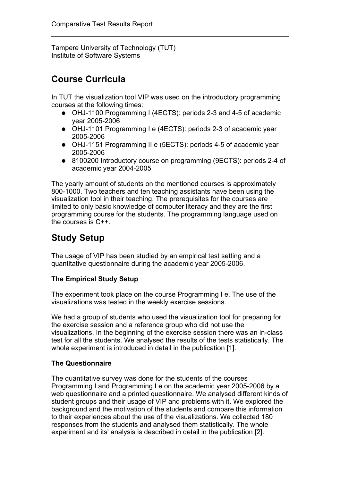Tampere University of Technology (TUT) Institute of Software Systems

### **Course Curricula**

In TUT the visualization tool VIP was used on the introductory programming courses at the following times:

- OHJ-1100 Programming I (4ECTS): periods 2-3 and 4-5 of academic year 2005-2006
- OHJ-1101 Programming I e (4ECTS): periods 2-3 of academic year 2005-2006
- OHJ-1151 Programming II e (5ECTS): periods 4-5 of academic year 2005-2006
- 8100200 Introductory course on programming (9ECTS): periods 2-4 of academic year 2004-2005

The yearly amount of students on the mentioned courses is approximately 800-1000. Two teachers and ten teaching assistants have been using the visualization tool in their teaching. The prerequisites for the courses are limited to only basic knowledge of computer literacy and they are the first programming course for the students. The programming language used on the courses is C++.

# **Study Setup**

The usage of VIP has been studied by an empirical test setting and a quantitative questionnaire during the academic year 2005-2006.

### **The Empirical Study Setup**

The experiment took place on the course Programming I e. The use of the visualizations was tested in the weekly exercise sessions.

We had a group of students who used the visualization tool for preparing for the exercise session and a reference group who did not use the visualizations. In the beginning of the exercise session there was an in-class test for all the students. We analysed the results of the tests statistically. The whole experiment is introduced in detail in the publication [1].

### **The Questionnaire**

The quantitative survey was done for the students of the courses Programming I and Programming I e on the academic year 2005-2006 by a web questionnaire and a printed questionnaire. We analysed different kinds of student groups and their usage of VIP and problems with it. We explored the background and the motivation of the students and compare this information to their experiences about the use of the visualizations. We collected 180 responses from the students and analysed them statistically. The whole experiment and its' analysis is described in detail in the publication [2].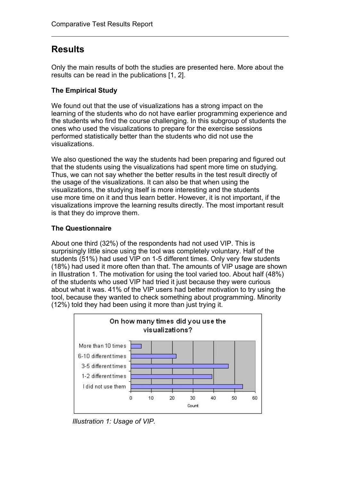### **Results**

Only the main results of both the studies are presented here. More about the results can be read in the publications [1, 2].

### **The Empirical Study**

We found out that the use of visualizations has a strong impact on the learning of the students who do not have earlier programming experience and the students who find the course challenging. In this subgroup of students the ones who used the visualizations to prepare for the exercise sessions performed statistically better than the students who did not use the visualizations.

We also questioned the way the students had been preparing and figured out that the students using the visualizations had spent more time on studying. Thus, we can not say whether the better results in the test result directly of the usage of the visualizations. It can also be that when using the visualizations, the studying itself is more interesting and the students use more time on it and thus learn better. However, it is not important, if the visualizations improve the learning results directly. The most important result is that they do improve them.

### **The Questionnaire**

About one third (32%) of the respondents had not used VIP. This is surprisingly little since using the tool was completely voluntary. Half of the students (51%) had used VIP on 1-5 different times. Only very few students (18%) had used it more often than that. The amounts of VIP usage are shown in Illustration 1. The motivation for using the tool varied too. About half (48%) of the students who used VIP had tried it just because they were curious about what it was. 41% of the VIP users had better motivation to try using the tool, because they wanted to check something about programming. Minority (12%) told they had been using it more than just trying it.



*Illustration 1: Usage of VIP.*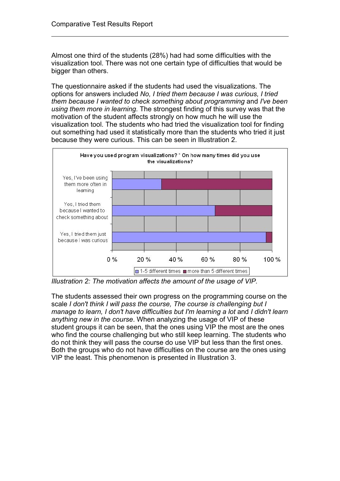Almost one third of the students (28%) had had some difficulties with the visualization tool. There was not one certain type of difficulties that would be bigger than others.

The questionnaire asked if the students had used the visualizations. The options for answers included *No, I tried them because I was curious, I tried them because I wanted to check something about programming* and *I've been using them more in learning*. The strongest finding of this survey was that the motivation of the student affects strongly on how much he will use the visualization tool. The students who had tried the visualization tool for finding out something had used it statistically more than the students who tried it just because they were curious. This can be seen in Illustration 2.



*Illustration 2: The motivation affects the amount of the usage of VIP.*

The students assessed their own progress on the programming course on the scale *I don't think I will pass the course, The course is challenging but I manage to learn, I don't have difficulties but I'm learning a lot* and *I didn't learn anything new in the course*. When analyzing the usage of VIP of these student groups it can be seen, that the ones using VIP the most are the ones who find the course challenging but who still keep learning. The students who do not think they will pass the course do use VIP but less than the first ones. Both the groups who do not have difficulties on the course are the ones using VIP the least. This phenomenon is presented in Illustration 3.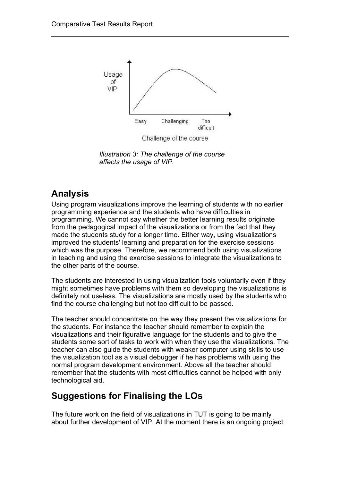

*Illustration 3: The challenge of the course affects the usage of VIP.*

## **Analysis**

Using program visualizations improve the learning of students with no earlier programming experience and the students who have difficulties in programming. We cannot say whether the better learning results originate from the pedagogical impact of the visualizations or from the fact that they made the students study for a longer time. Either way, using visualizations improved the students' learning and preparation for the exercise sessions which was the purpose. Therefore, we recommend both using visualizations in teaching and using the exercise sessions to integrate the visualizations to the other parts of the course.

The students are interested in using visualization tools voluntarily even if they might sometimes have problems with them so developing the visualizations is definitely not useless. The visualizations are mostly used by the students who find the course challenging but not too difficult to be passed.

The teacher should concentrate on the way they present the visualizations for the students. For instance the teacher should remember to explain the visualizations and their figurative language for the students and to give the students some sort of tasks to work with when they use the visualizations. The teacher can also guide the students with weaker computer using skills to use the visualization tool as a visual debugger if he has problems with using the normal program development environment. Above all the teacher should remember that the students with most difficulties cannot be helped with only technological aid.

## **Suggestions for Finalising the LOs**

The future work on the field of visualizations in TUT is going to be mainly about further development of VIP. At the moment there is an ongoing project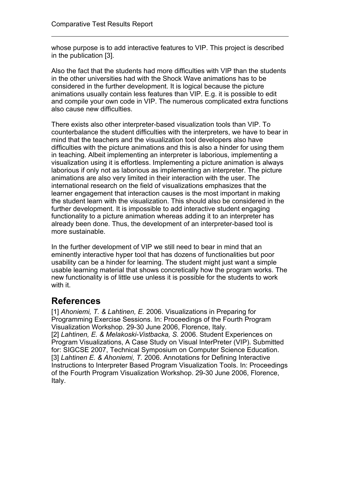whose purpose is to add interactive features to VIP. This project is described in the publication [3].

Also the fact that the students had more difficulties with VIP than the students in the other universities had with the Shock Wave animations has to be considered in the further development. It is logical because the picture animations usually contain less features than VIP. E.g. it is possible to edit and compile your own code in VIP. The numerous complicated extra functions also cause new difficulties.

There exists also other interpreter-based visualization tools than VIP. To counterbalance the student difficulties with the interpreters, we have to bear in mind that the teachers and the visualization tool developers also have difficulties with the picture animations and this is also a hinder for using them in teaching. Albeit implementing an interpreter is laborious, implementing a visualization using it is effortless. Implementing a picture animation is always laborious if only not as laborious as implementing an interpreter. The picture animations are also very limited in their interaction with the user. The international research on the field of visualizations emphasizes that the learner engagement that interaction causes is the most important in making the student learn with the visualization. This should also be considered in the further development. It is impossible to add interactive student engaging functionality to a picture animation whereas adding it to an interpreter has already been done. Thus, the development of an interpreter-based tool is more sustainable.

In the further development of VIP we still need to bear in mind that an eminently interactive hyper tool that has dozens of functionalities but poor usability can be a hinder for learning. The student might just want a simple usable learning material that shows concretically how the program works. The new functionality is of little use unless it is possible for the students to work with it.

## **References**

[1] *Ahoniemi, T. & Lahtinen, E.* 2006. Visualizations in Preparing for Programming Exercise Sessions. In: Proceedings of the Fourth Program Visualization Workshop. 29-30 June 2006, Florence, Italy. [2] *Lahtinen, E. & Melakoski-Vistbacka, S.* 2006. Student Experiences on Program Visualizations, A Case Study on Visual InterPreter (VIP). Submitted for: SIGCSE 2007, Technical Symposium on Computer Science Education. [3] *Lahtinen E. & Ahoniemi, T.* 2006. Annotations for Defining Interactive Instructions to Interpreter Based Program Visualization Tools. In: Proceedings of the Fourth Program Visualization Workshop. 29-30 June 2006, Florence, Italy.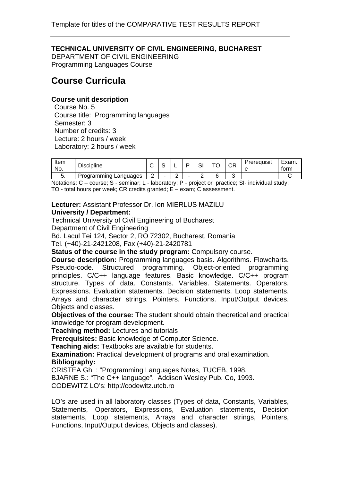### **TECHNICAL UNIVERSITY OF CIVIL ENGINEERING, BUCHAREST**

DEPARTMENT OF CIVIL ENGINEERING Programming Languages Course

### **Course Curricula**

### **Course unit description**

Course No. 5 Course title: Programming languages Semester: 3 Number of credits: 3 Lecture: 2 hours / week Laboratory: 2 hours / week

| Item<br>No. | <b>Discipline</b>     | $\cdot$       | -      | $\sim$<br>ات | — <i>—</i><br>◡ | ∼י<br>◡∩ | Prereguisit | $\overline{\phantom{0}}$<br>Exam.<br>torm |
|-------------|-----------------------|---------------|--------|--------------|-----------------|----------|-------------|-------------------------------------------|
| J.          | Programming Languages | ⌒<br><u>_</u> | ⌒<br>- | -            | ⌒               |          |             |                                           |

Notations: C – course; S - seminar; L - laboratory; P - project or practice; SI- individual study: TO - total hours per week; CR credits granted; E – exam; C assessment.

**Lecturer:** Assistant Professor Dr. Ion MIERLUS MAZILU **University / Department:** 

Technical University of Civil Engineering of Bucharest Department of Civil Engineering

Bd. Lacul Tei 124, Sector 2, RO 72302, Bucharest, Romania Tel. (+40)-21-2421208, Fax (+40)-21-2420781

**Status of the course in the study program:** Compulsory course.

**Course description:** Programming languages basis. Algorithms. Flowcharts. Pseudo-code. Structured programming. Object-oriented programming principles. C/C++ language features. Basic knowledge. C/C++ program structure. Types of data. Constants. Variables. Statements. Operators. Expressions. Evaluation statements. Decision statements. Loop statements. Arrays and character strings. Pointers. Functions. Input/Output devices. Objects and classes.

**Objectives of the course:** The student should obtain theoretical and practical knowledge for program development.

**Teaching method:** Lectures and tutorials

**Prerequisites:** Basic knowledge of Computer Science.

**Teaching aids:** Textbooks are available for students.

**Examination:** Practical development of programs and oral examination. **Bibliography:** 

CRISTEA Gh. : "Programming Languages Notes, TUCEB, 1998.

BJARNE S.: "The C++ language", Addison Wesley Pub. Co, 1993.

CODEWITZ LO's: http://codewitz.utcb.ro

LO's are used in all laboratory classes (Types of data, Constants, Variables, Statements, Operators, Expressions, Evaluation statements, Decision statements, Loop statements, Arrays and character strings, Pointers, Functions, Input/Output devices, Objects and classes).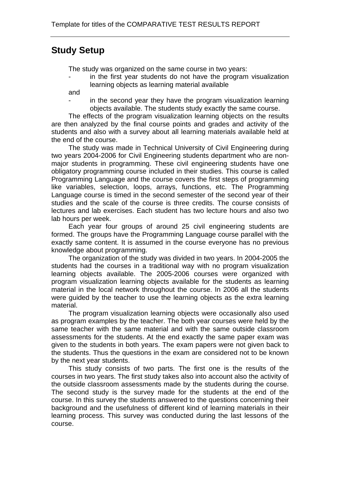### **Study Setup**

The study was organized on the same course in two years:

in the first year students do not have the program visualization learning objects as learning material available

and

in the second year they have the program visualization learning objects available. The students study exactly the same course.

The effects of the program visualization learning objects on the results are then analyzed by the final course points and grades and activity of the students and also with a survey about all learning materials available held at the end of the course.

The study was made in Technical University of Civil Engineering during two years 2004-2006 for Civil Engineering students department who are nonmajor students in programming. These civil engineering students have one obligatory programming course included in their studies. This course is called Programming Language and the course covers the first steps of programming like variables, selection, loops, arrays, functions, etc. The Programming Language course is timed in the second semester of the second year of their studies and the scale of the course is three credits. The course consists of lectures and lab exercises. Each student has two lecture hours and also two lab hours per week.

Each year four groups of around 25 civil engineering students are formed. The groups have the Programming Language course parallel with the exactly same content. It is assumed in the course everyone has no previous knowledge about programming.

The organization of the study was divided in two years. In 2004-2005 the students had the courses in a traditional way with no program visualization learning objects available. The 2005-2006 courses were organized with program visualization learning objects available for the students as learning material in the local network throughout the course. In 2006 all the students were guided by the teacher to use the learning objects as the extra learning material.

The program visualization learning objects were occasionally also used as program examples by the teacher. The both year courses were held by the same teacher with the same material and with the same outside classroom assessments for the students. At the end exactly the same paper exam was given to the students in both years. The exam papers were not given back to the students. Thus the questions in the exam are considered not to be known by the next year students.

This study consists of two parts. The first one is the results of the courses in two years. The first study takes also into account also the activity of the outside classroom assessments made by the students during the course. The second study is the survey made for the students at the end of the course. In this survey the students answered to the questions concerning their background and the usefulness of different kind of learning materials in their learning process. This survey was conducted during the last lessons of the course.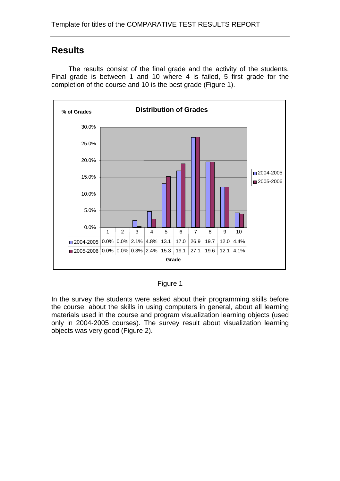### **Results**

The results consist of the final grade and the activity of the students. Final grade is between 1 and 10 where 4 is failed, 5 first grade for the completion of the course and 10 is the best grade (Figure 1).



Figure 1

In the survey the students were asked about their programming skills before the course, about the skills in using computers in general, about all learning materials used in the course and program visualization learning objects (used only in 2004-2005 courses). The survey result about visualization learning objects was very good (Figure 2).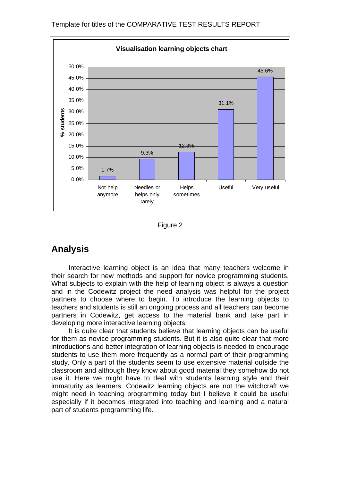

Figure 2

### **Analysis**

Interactive learning object is an idea that many teachers welcome in their search for new methods and support for novice programming students. What subjects to explain with the help of learning object is always a question and in the Codewitz project the need analysis was helpful for the project partners to choose where to begin. To introduce the learning objects to teachers and students is still an ongoing process and all teachers can become partners in Codewitz, get access to the material bank and take part in developing more interactive learning objects.

It is quite clear that students believe that learning objects can be useful for them as novice programming students. But it is also quite clear that more introductions and better integration of learning objects is needed to encourage students to use them more frequently as a normal part of their programming study. Only a part of the students seem to use extensive material outside the classroom and although they know about good material they somehow do not use it. Here we might have to deal with students learning style and their immaturity as learners. Codewitz learning objects are not the witchcraft we might need in teaching programming today but I believe it could be useful especially if it becomes integrated into teaching and learning and a natural part of students programming life.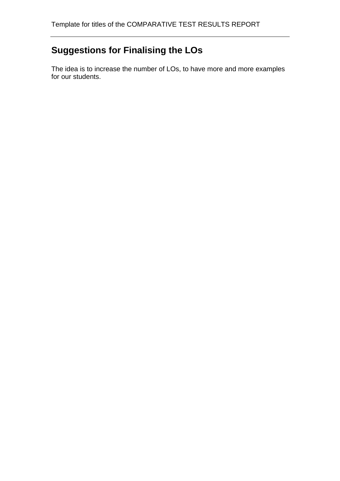# **Suggestions for Finalising the LOs**

The idea is to increase the number of LOs, to have more and more examples for our students.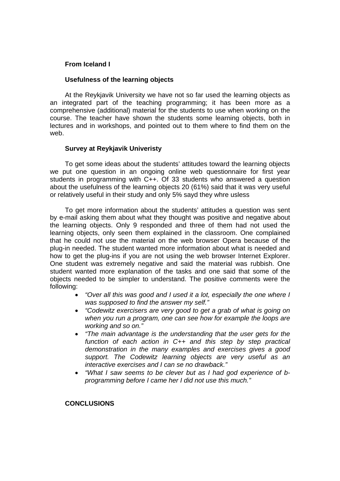#### **From Iceland I**

#### **Usefulness of the learning objects**

At the Reykjavik University we have not so far used the learning objects as an integrated part of the teaching programming; it has been more as a comprehensive (additional) material for the students to use when working on the course. The teacher have shown the students some learning objects, both in lectures and in workshops, and pointed out to them where to find them on the web.

#### **Survey at Reykjavik Univeristy**

To get some ideas about the students' attitudes toward the learning objects we put one question in an ongoing online web questionnaire for first year students in programming with C++. Of 33 students who answered a question about the usefulness of the learning objects 20 (61%) said that it was very useful or relatively useful in their study and only 5% sayd they whre usless

To get more information about the students' attitudes a question was sent by e-mail asking them about what they thought was positive and negative about the learning objects. Only 9 responded and three of them had not used the learning objects, only seen them explained in the classroom. One complained that he could not use the material on the web browser Opera because of the plug-in needed. The student wanted more information about what is needed and how to get the plug-ins if you are not using the web browser Internet Explorer. One student was extremely negative and said the material was rubbish. One student wanted more explanation of the tasks and one said that some of the objects needed to be simpler to understand. The positive comments were the following:

- *"Over all this was good and I used it a lot, especially the one where I was supposed to find the answer my self."*
- *"Codewitz exercisers are very good to get a grab of what is going on when you run a program, one can see how for example the loops are working and so on."*
- *"The main advantage is the understanding that the user gets for the function of each action in C++ and this step by step practical demonstration in the many examples and exercises gives a good support. The Codewitz learning objects are very useful as an interactive exercises and I can se no drawback."*
- *"What I saw seems to be clever but as I had god experience of bprogramming before I came her I did not use this much."*

#### **CONCLUSIONS**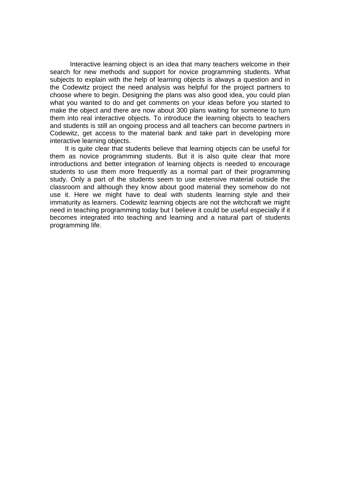Interactive learning object is an idea that many teachers welcome in their search for new methods and support for novice programming students. What subjects to explain with the help of learning objects is always a question and in the Codewitz project the need analysis was helpful for the project partners to choose where to begin. Designing the plans was also good idea, you could plan what you wanted to do and get comments on your ideas before you started to make the object and there are now about 300 plans waiting for someone to turn them into real interactive objects. To introduce the learning objects to teachers and students is still an ongoing process and all teachers can become partners in Codewitz, get access to the material bank and take part in developing more interactive learning objects.

It is quite clear that students believe that learning objects can be useful for them as novice programming students. But it is also quite clear that more introductions and better integration of learning objects is needed to encourage students to use them more frequently as a normal part of their programming study. Only a part of the students seem to use extensive material outside the classroom and although they know about good material they somehow do not use it. Here we might have to deal with students learning style and their immaturity as learners. Codewitz learning objects are not the witchcraft we might need in teaching programming today but I believe it could be useful especially if it becomes integrated into teaching and learning and a natural part of students programming life.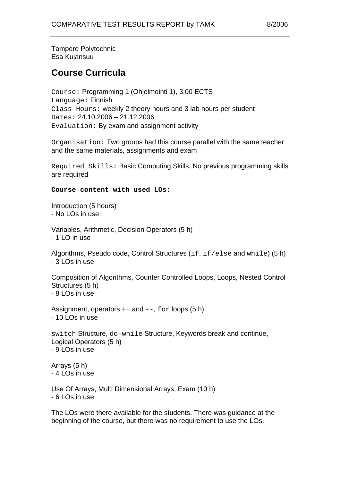Tampere Polytechnic Esa Kujansuu

### **Course Curricula**

Course: Programming 1 (Ohjelmointi 1), 3,00 ECTS Language: Finnish Class Hours: weekly 2 theory hours and 3 lab hours per student Dates: 24.10.2006 – 21.12.2006 Evaluation: By exam and assignment activity

Organisation: Two groups had this course parallel with the same teacher and the same materials, assignments and exam

Required Skills: Basic Computing Skills. No previous programming skills are required

**Course content with used LOs:** 

Introduction (5 hours) - No LOs in use

Variables, Arithmetic, Decision Operators (5 h) - 1 LO in use

Algorithms, Pseudo code, Control Structures (if, if/else and while) (5 h) - 3 LOs in use

Composition of Algorithms, Counter Controlled Loops, Loops, Nested Control Structures (5 h) - 8 LOs in use

Assignment, operators  $++$  and  $--$ , for loops (5 h)  $-101$  Os in use

switch Structure, do-while Structure, Keywords break and continue, Logical Operators (5 h) - 9 LOs in use

Arrays (5 h) - 4 LOs in use

Use Of Arrays, Multi Dimensional Arrays, Exam (10 h) - 6 LOs in use

The LOs were there available for the students. There was guidance at the beginning of the course, but there was no requirement to use the LOs.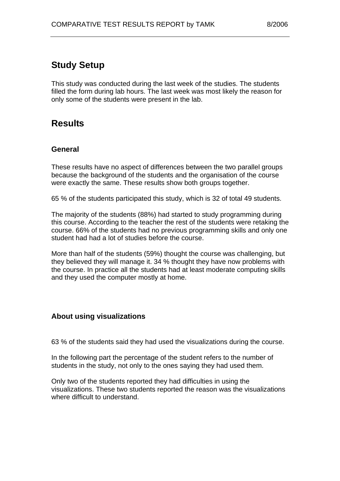## **Study Setup**

This study was conducted during the last week of the studies. The students filled the form during lab hours. The last week was most likely the reason for only some of the students were present in the lab.

## **Results**

### **General**

These results have no aspect of differences between the two parallel groups because the background of the students and the organisation of the course were exactly the same. These results show both groups together.

65 % of the students participated this study, which is 32 of total 49 students.

The majority of the students (88%) had started to study programming during this course. According to the teacher the rest of the students were retaking the course. 66% of the students had no previous programming skills and only one student had had a lot of studies before the course.

More than half of the students (59%) thought the course was challenging, but they believed they will manage it. 34 % thought they have now problems with the course. In practice all the students had at least moderate computing skills and they used the computer mostly at home.

### **About using visualizations**

63 % of the students said they had used the visualizations during the course.

In the following part the percentage of the student refers to the number of students in the study, not only to the ones saying they had used them.

Only two of the students reported they had difficulties in using the visualizations. These two students reported the reason was the visualizations where difficult to understand.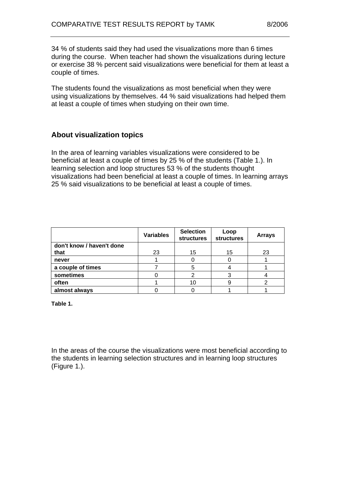34 % of students said they had used the visualizations more than 6 times during the course. When teacher had shown the visualizations during lecture or exercise 38 % percent said visualizations were beneficial for them at least a couple of times.

The students found the visualizations as most beneficial when they were using visualizations by themselves. 44 % said visualizations had helped them at least a couple of times when studying on their own time.

### **About visualization topics**

In the area of learning variables visualizations were considered to be beneficial at least a couple of times by 25 % of the students (Table 1.). In learning selection and loop structures 53 % of the students thought visualizations had been beneficial at least a couple of times. In learning arrays 25 % said visualizations to be beneficial at least a couple of times.

|                           | <b>Variables</b> | <b>Selection</b><br><b>structures</b> | Loop<br><b>structures</b> | <b>Arrays</b> |
|---------------------------|------------------|---------------------------------------|---------------------------|---------------|
| don't know / haven't done |                  |                                       |                           |               |
| that                      | 23               | 15                                    | 15                        | 23            |
| never                     |                  |                                       |                           |               |
| a couple of times         |                  |                                       |                           |               |
| sometimes                 |                  |                                       |                           |               |
| often                     |                  | 10                                    |                           |               |
| almost always             |                  |                                       |                           |               |

**Table 1.** 

In the areas of the course the visualizations were most beneficial according to the students in learning selection structures and in learning loop structures (Figure 1.).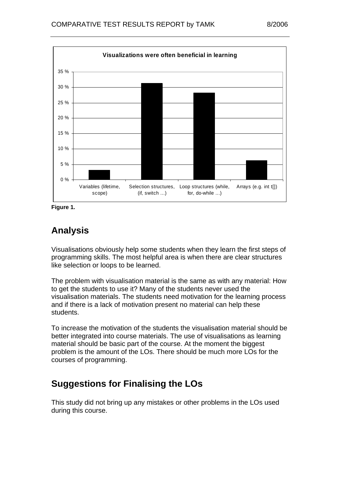

**Figure 1.** 

## **Analysis**

Visualisations obviously help some students when they learn the first steps of programming skills. The most helpful area is when there are clear structures like selection or loops to be learned.

The problem with visualisation material is the same as with any material: How to get the students to use it? Many of the students never used the visualisation materials. The students need motivation for the learning process and if there is a lack of motivation present no material can help these students.

To increase the motivation of the students the visualisation material should be better integrated into course materials. The use of visualisations as learning material should be basic part of the course. At the moment the biggest problem is the amount of the LOs. There should be much more LOs for the courses of programming.

## **Suggestions for Finalising the LOs**

This study did not bring up any mistakes or other problems in the LOs used during this course.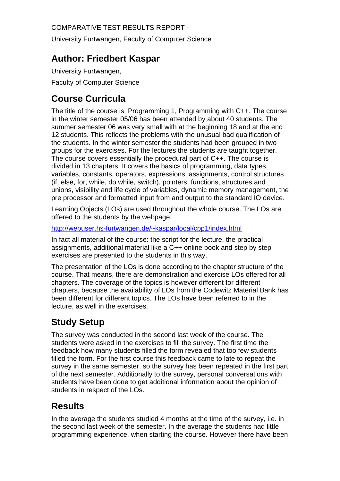COMPARATIVE TEST RESULTS REPORT -

University Furtwangen, Faculty of Computer Science

### **Author: Friedbert Kaspar**

University Furtwangen, Faculty of Computer Science

## **Course Curricula**

The title of the course is: Programming 1, Programming with C++. The course in the winter semester 05/06 has been attended by about 40 students. The summer semester 06 was very small with at the beginning 18 and at the end 12 students. This reflects the problems with the unusual bad qualification of the students. In the winter semester the students had been grouped in two groups for the exercises. For the lectures the students are taught together. The course covers essentially the procedural part of C++. The course is divided in 13 chapters. It covers the basics of programming, data types, variables, constants, operators, expressions, assignments, control structures (if, else, for, while, do while, switch), pointers, functions, structures and unions, visibility and life cycle of variables, dynamic memory management, the pre processor and formatted input from and output to the standard IO device.

Learning Objects (LOs) are used throughout the whole course. The LOs are offered to the students by the webpage:

http://webuser.hs-furtwangen.de/~kaspar/local/cpp1/index.html

In fact all material of the course: the script for the lecture, the practical assignments, additional material like a C++ online book and step by step exercises are presented to the students in this way.

The presentation of the LOs is done according to the chapter structure of the course. That means, there are demonstration and exercise LOs offered for all chapters. The coverage of the topics is however different for different chapters, because the availability of LOs from the Codewitz Material Bank has been different for different topics. The LOs have been referred to in the lecture, as well in the exercises.

# **Study Setup**

The survey was conducted in the second last week of the course. The students were asked in the exercises to fill the survey. The first time the feedback how many students filled the form revealed that too few students filled the form. For the first course this feedback came to late to repeat the survey in the same semester, so the survey has been repeated in the first part of the next semester. Additionally to the survey, personal conversations with students have been done to get additional information about the opinion of students in respect of the LOs.

## **Results**

In the average the students studied 4 months at the time of the survey, i.e. in the second last week of the semester. In the average the students had little programming experience, when starting the course. However there have been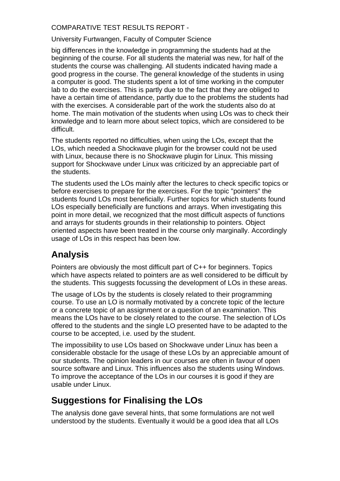### COMPARATIVE TEST RESULTS REPORT -

University Furtwangen, Faculty of Computer Science

big differences in the knowledge in programming the students had at the beginning of the course. For all students the material was new, for half of the students the course was challenging. All students indicated having made a good progress in the course. The general knowledge of the students in using a computer is good. The students spent a lot of time working in the computer lab to do the exercises. This is partly due to the fact that they are obliged to have a certain time of attendance, partly due to the problems the students had with the exercises. A considerable part of the work the students also do at home. The main motivation of the students when using LOs was to check their knowledge and to learn more about select topics, which are considered to be difficult.

The students reported no difficulties, when using the LOs, except that the LOs, which needed a Shockwave plugin for the browser could not be used with Linux, because there is no Shockwave plugin for Linux. This missing support for Shockwave under Linux was criticized by an appreciable part of the students.

The students used the LOs mainly after the lectures to check specific topics or before exercises to prepare for the exercises. For the topic "pointers" the students found LOs most beneficially. Further topics for which students found LOs especially beneficially are functions and arrays. When investigating this point in more detail, we recognized that the most difficult aspects of functions and arrays for students grounds in their relationship to pointers. Object oriented aspects have been treated in the course only marginally. Accordingly usage of LOs in this respect has been low.

## **Analysis**

Pointers are obviously the most difficult part of C++ for beginners. Topics which have aspects related to pointers are as well considered to be difficult by the students. This suggests focussing the development of LOs in these areas.

The usage of LOs by the students is closely related to their programming course. To use an LO is normally motivated by a concrete topic of the lecture or a concrete topic of an assignment or a question of an examination. This means the LOs have to be closely related to the course. The selection of LOs offered to the students and the single LO presented have to be adapted to the course to be accepted, i.e. used by the student.

The impossibility to use LOs based on Shockwave under Linux has been a considerable obstacle for the usage of these LOs by an appreciable amount of our students. The opinion leaders in our courses are often in favour of open source software and Linux. This influences also the students using Windows. To improve the acceptance of the LOs in our courses it is good if they are usable under Linux.

# **Suggestions for Finalising the LOs**

The analysis done gave several hints, that some formulations are not well understood by the students. Eventually it would be a good idea that all LOs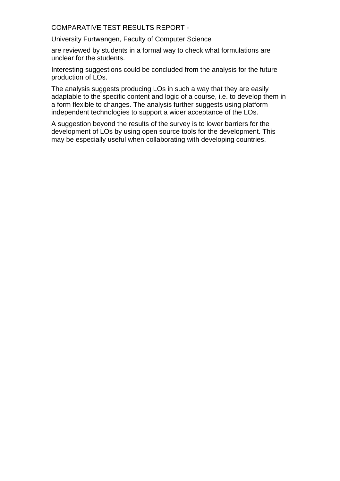COMPARATIVE TEST RESULTS REPORT -

University Furtwangen, Faculty of Computer Science

are reviewed by students in a formal way to check what formulations are unclear for the students.

Interesting suggestions could be concluded from the analysis for the future production of LOs.

The analysis suggests producing LOs in such a way that they are easily adaptable to the specific content and logic of a course, i.e. to develop them in a form flexible to changes. The analysis further suggests using platform independent technologies to support a wider acceptance of the LOs.

A suggestion beyond the results of the survey is to lower barriers for the development of LOs by using open source tools for the development. This may be especially useful when collaborating with developing countries.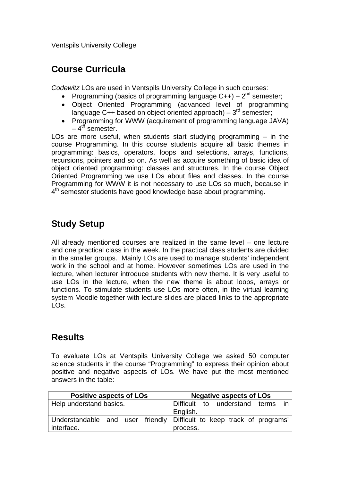Ventspils University College

### **Course Curricula**

*Codewitz* LOs are used in Ventspils University College in such courses:

- Programming (basics of programming language  $C++$ )  $2^{nd}$  semester;
- Object Oriented Programming (advanced level of programming language C++ based on object oriented approach) –  $3^{rd}$  semester;
- Programming for WWW (acquirement of programming language JAVA)  $-4^{th}$  semester.

LOs are more useful, when students start studving programming  $-$  in the course Programming. In this course students acquire all basic themes in programming: basics, operators, loops and selections, arrays, functions, recursions, pointers and so on. As well as acquire something of basic idea of object oriented programming: classes and structures. In the course Object Oriented Programming we use LOs about files and classes. In the course Programming for WWW it is not necessary to use LOs so much, because in  $4<sup>th</sup>$  semester students have good knowledge base about programming.

# **Study Setup**

All already mentioned courses are realized in the same level – one lecture and one practical class in the week. In the practical class students are divided in the smaller groups. Mainly LOs are used to manage students' independent work in the school and at home. However sometimes LOs are used in the lecture, when lecturer introduce students with new theme. It is very useful to use LOs in the lecture, when the new theme is about loops, arrays or functions. To stimulate students use LOs more often, in the virtual learning system Moodle together with lecture slides are placed links to the appropriate LOs.

## **Results**

To evaluate LOs at Ventspils University College we asked 50 computer science students in the course "Programming" to express their opinion about positive and negative aspects of LOs. We have put the most mentioned answers in the table:

| <b>Positive aspects of LOs</b> |  |  |  | <b>Negative aspects of LOs</b>                                        |  |  |  |  |
|--------------------------------|--|--|--|-----------------------------------------------------------------------|--|--|--|--|
| Help understand basics.        |  |  |  | Difficult to understand terms                                         |  |  |  |  |
|                                |  |  |  | English.                                                              |  |  |  |  |
|                                |  |  |  | Understandable and user friendly Difficult to keep track of programs' |  |  |  |  |
| interface.                     |  |  |  | process.                                                              |  |  |  |  |